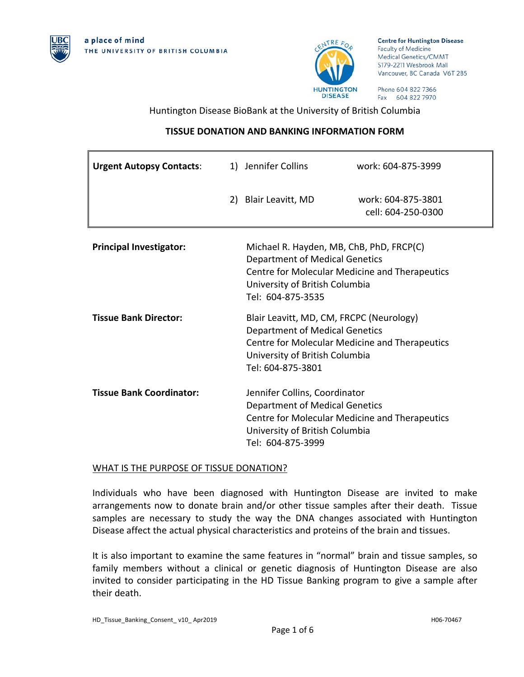



**Centre for Huntington Disease Faculty of Medicine** Medical Genetics/CMMT S179-2211 Wesbrook Mall Vancouver, BC Canada V6T 2B5

Phone 604 822 7366 Fax 604 822 7970

Huntington Disease BioBank at the University of British Columbia

# **TISSUE DONATION AND BANKING INFORMATION FORM**

| <b>Urgent Autopsy Contacts:</b> |                                                                                                                                                                                            | 1) Jennifer Collins                                                                                                                                                                        | work: 604-875-3999                       |
|---------------------------------|--------------------------------------------------------------------------------------------------------------------------------------------------------------------------------------------|--------------------------------------------------------------------------------------------------------------------------------------------------------------------------------------------|------------------------------------------|
|                                 |                                                                                                                                                                                            | 2) Blair Leavitt, MD                                                                                                                                                                       | work: 604-875-3801<br>cell: 604-250-0300 |
| <b>Principal Investigator:</b>  | Michael R. Hayden, MB, ChB, PhD, FRCP(C)<br><b>Department of Medical Genetics</b><br>Centre for Molecular Medicine and Therapeutics<br>University of British Columbia<br>Tel: 604-875-3535 |                                                                                                                                                                                            |                                          |
| <b>Tissue Bank Director:</b>    |                                                                                                                                                                                            | Blair Leavitt, MD, CM, FRCPC (Neurology)<br><b>Department of Medical Genetics</b><br>Centre for Molecular Medicine and Therapeutics<br>University of British Columbia<br>Tel: 604-875-3801 |                                          |
| <b>Tissue Bank Coordinator:</b> |                                                                                                                                                                                            | Jennifer Collins, Coordinator<br><b>Department of Medical Genetics</b><br>Centre for Molecular Medicine and Therapeutics<br>University of British Columbia<br>Tel: 604-875-3999            |                                          |

## WHAT IS THE PURPOSE OF TISSUE DONATION?

Individuals who have been diagnosed with Huntington Disease are invited to make arrangements now to donate brain and/or other tissue samples after their death. Tissue samples are necessary to study the way the DNA changes associated with Huntington Disease affect the actual physical characteristics and proteins of the brain and tissues.

It is also important to examine the same features in "normal" brain and tissue samples, so family members without a clinical or genetic diagnosis of Huntington Disease are also invited to consider participating in the HD Tissue Banking program to give a sample after their death.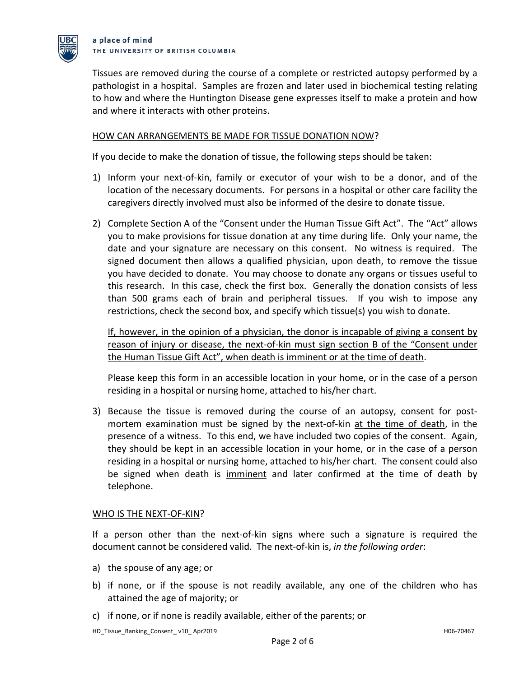

Tissues are removed during the course of a complete or restricted autopsy performed by a pathologist in a hospital. Samples are frozen and later used in biochemical testing relating to how and where the Huntington Disease gene expresses itself to make a protein and how and where it interacts with other proteins.

## HOW CAN ARRANGEMENTS BE MADE FOR TISSUE DONATION NOW?

If you decide to make the donation of tissue, the following steps should be taken:

- 1) Inform your next-of-kin, family or executor of your wish to be a donor, and of the location of the necessary documents. For persons in a hospital or other care facility the caregivers directly involved must also be informed of the desire to donate tissue.
- 2) Complete Section A of the "Consent under the Human Tissue Gift Act". The "Act" allows you to make provisions for tissue donation at any time during life. Only your name, the date and your signature are necessary on this consent. No witness is required. The signed document then allows a qualified physician, upon death, to remove the tissue you have decided to donate. You may choose to donate any organs or tissues useful to this research. In this case, check the first box. Generally the donation consists of less than 500 grams each of brain and peripheral tissues. If you wish to impose any restrictions, check the second box, and specify which tissue(s) you wish to donate.

If, however, in the opinion of a physician, the donor is incapable of giving a consent by reason of injury or disease, the next-of-kin must sign section B of the "Consent under the Human Tissue Gift Act", when death is imminent or at the time of death.

Please keep this form in an accessible location in your home, or in the case of a person residing in a hospital or nursing home, attached to his/her chart.

3) Because the tissue is removed during the course of an autopsy, consent for postmortem examination must be signed by the next-of-kin at the time of death, in the presence of a witness. To this end, we have included two copies of the consent. Again, they should be kept in an accessible location in your home, or in the case of a person residing in a hospital or nursing home, attached to his/her chart. The consent could also be signed when death is imminent and later confirmed at the time of death by telephone.

### WHO IS THE NEXT-OF-KIN?

If a person other than the next-of-kin signs where such a signature is required the document cannot be considered valid. The next-of-kin is, *in the following order*:

- a) the spouse of any age; or
- b) if none, or if the spouse is not readily available, any one of the children who has attained the age of majority; or
- c) if none, or if none is readily available, either of the parents; or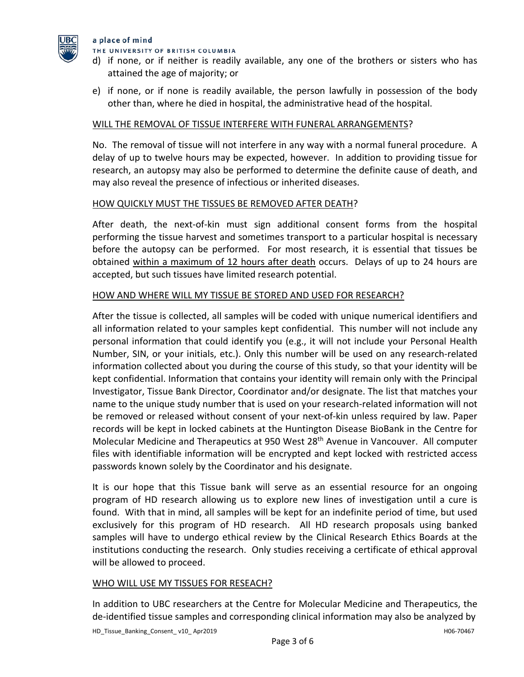

### a place of mind

THE UNIVERSITY OF BRITISH COLUMBIA

- d) if none, or if neither is readily available, any one of the brothers or sisters who has attained the age of majority; or
- e) if none, or if none is readily available, the person lawfully in possession of the body other than, where he died in hospital, the administrative head of the hospital.

## WILL THE REMOVAL OF TISSUE INTERFERE WITH FUNERAL ARRANGEMENTS?

No. The removal of tissue will not interfere in any way with a normal funeral procedure. A delay of up to twelve hours may be expected, however. In addition to providing tissue for research, an autopsy may also be performed to determine the definite cause of death, and may also reveal the presence of infectious or inherited diseases.

### HOW QUICKLY MUST THE TISSUES BE REMOVED AFTER DEATH?

After death, the next-of-kin must sign additional consent forms from the hospital performing the tissue harvest and sometimes transport to a particular hospital is necessary before the autopsy can be performed. For most research, it is essential that tissues be obtained within a maximum of 12 hours after death occurs. Delays of up to 24 hours are accepted, but such tissues have limited research potential.

## HOW AND WHERE WILL MY TISSUE BE STORED AND USED FOR RESEARCH?

After the tissue is collected, all samples will be coded with unique numerical identifiers and all information related to your samples kept confidential. This number will not include any personal information that could identify you (e.g., it will not include your Personal Health Number, SIN, or your initials, etc.). Only this number will be used on any research-related information collected about you during the course of this study, so that your identity will be kept confidential. Information that contains your identity will remain only with the Principal Investigator, Tissue Bank Director, Coordinator and/or designate. The list that matches your name to the unique study number that is used on your research-related information will not be removed or released without consent of your next-of-kin unless required by law. Paper records will be kept in locked cabinets at the Huntington Disease BioBank in the Centre for Molecular Medicine and Therapeutics at 950 West 28<sup>th</sup> Avenue in Vancouver. All computer files with identifiable information will be encrypted and kept locked with restricted access passwords known solely by the Coordinator and his designate.

It is our hope that this Tissue bank will serve as an essential resource for an ongoing program of HD research allowing us to explore new lines of investigation until a cure is found. With that in mind, all samples will be kept for an indefinite period of time, but used exclusively for this program of HD research. All HD research proposals using banked samples will have to undergo ethical review by the Clinical Research Ethics Boards at the institutions conducting the research. Only studies receiving a certificate of ethical approval will be allowed to proceed.

### WHO WILL USE MY TISSUES FOR RESEACH?

In addition to UBC researchers at the Centre for Molecular Medicine and Therapeutics, the de-identified tissue samples and corresponding clinical information may also be analyzed by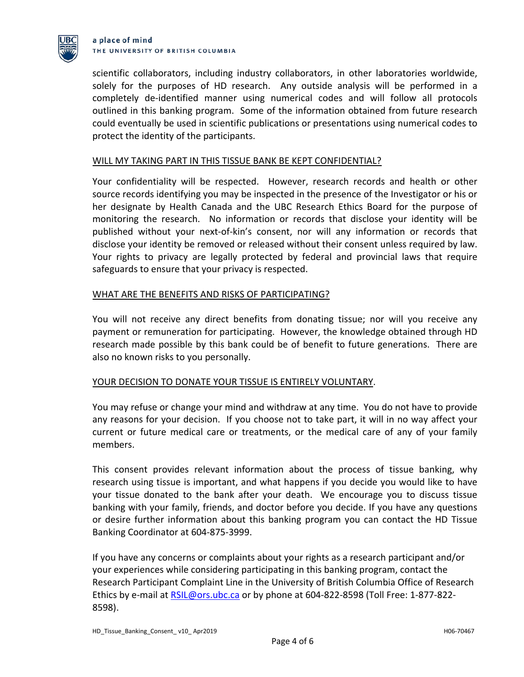

#### a place of mind THE UNIVERSITY OF BRITISH COLUMBIA

scientific collaborators, including industry collaborators, in other laboratories worldwide, solely for the purposes of HD research. Any outside analysis will be performed in a completely de-identified manner using numerical codes and will follow all protocols outlined in this banking program. Some of the information obtained from future research could eventually be used in scientific publications or presentations using numerical codes to protect the identity of the participants.

## WILL MY TAKING PART IN THIS TISSUE BANK BE KEPT CONFIDENTIAL?

Your confidentiality will be respected. However, research records and health or other source records identifying you may be inspected in the presence of the Investigator or his or her designate by Health Canada and the UBC Research Ethics Board for the purpose of monitoring the research. No information or records that disclose your identity will be published without your next-of-kin's consent, nor will any information or records that disclose your identity be removed or released without their consent unless required by law. Your rights to privacy are legally protected by federal and provincial laws that require safeguards to ensure that your privacy is respected.

## WHAT ARE THE BENEFITS AND RISKS OF PARTICIPATING?

You will not receive any direct benefits from donating tissue; nor will you receive any payment or remuneration for participating. However, the knowledge obtained through HD research made possible by this bank could be of benefit to future generations. There are also no known risks to you personally.

## YOUR DECISION TO DONATE YOUR TISSUE IS ENTIRELY VOLUNTARY.

You may refuse or change your mind and withdraw at any time. You do not have to provide any reasons for your decision. If you choose not to take part, it will in no way affect your current or future medical care or treatments, or the medical care of any of your family members.

This consent provides relevant information about the process of tissue banking, why research using tissue is important, and what happens if you decide you would like to have your tissue donated to the bank after your death. We encourage you to discuss tissue banking with your family, friends, and doctor before you decide. If you have any questions or desire further information about this banking program you can contact the HD Tissue Banking Coordinator at 604-875-3999.

If you have any concerns or complaints about your rights as a research participant and/or your experiences while considering participating in this banking program, contact the Research Participant Complaint Line in the University of British Columbia Office of Research Ethics by e-mail at [RSIL@ors.ubc.ca](mailto:RSIL@ors.ubc.ca) or by phone at 604-822-8598 (Toll Free: 1-877-822- 8598).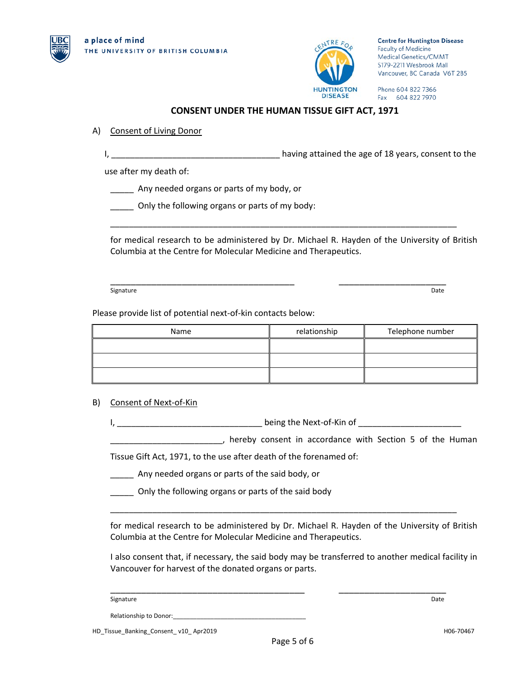



**Centre for Huntington Disease Faculty of Medicine** Medical Genetics/CMMT S179-2211 Wesbrook Mall Vancouver, BC Canada V6T 2B5

Phone 604 822 7366 Fax 604 822 7970

### **CONSENT UNDER THE HUMAN TISSUE GIFT ACT, 1971**

### A) Consent of Living Donor

I, 1, 2008 and 2008 and 2008 in the basic stained the age of 18 years, consent to the

use after my death of:

Any needed organs or parts of my body, or

Only the following organs or parts of my body:

for medical research to be administered by Dr. Michael R. Hayden of the University of British Columbia at the Centre for Molecular Medicine and Therapeutics.

\_\_\_\_\_\_\_\_\_\_\_\_\_\_\_\_\_\_\_\_\_\_\_\_\_\_\_\_\_\_\_\_\_\_\_\_\_\_\_\_\_\_\_\_\_\_\_\_\_\_\_\_\_\_\_\_\_\_\_\_\_\_\_\_\_\_\_\_\_\_\_\_\_\_

\_\_\_\_\_\_\_\_\_\_\_\_\_\_\_\_\_\_\_\_\_\_\_\_\_\_\_\_\_\_\_\_\_\_\_\_ \_\_\_\_\_\_\_\_\_\_\_\_\_\_\_\_\_\_\_\_\_ Signature Date **Date of the Contract of Contract Contract of Contract Contract Contract Only and Contract Only and Contract Only and Contract Only and Contract Only and Only and Only and Only and Only and Only and Only and** 

Please provide list of potential next-of-kin contacts below:

| Name | relationship | Telephone number |
|------|--------------|------------------|
|      |              |                  |
|      |              |                  |
|      |              |                  |

### B) Consent of Next-of-Kin

I, \_\_\_\_\_\_\_\_\_\_\_\_\_\_\_\_\_\_\_\_\_\_\_\_\_\_\_\_\_\_\_ being the Next-of-Kin of \_\_\_\_\_\_\_\_\_\_\_\_\_\_\_\_\_\_\_\_\_\_

\_\_\_\_\_\_\_\_\_\_\_\_\_\_\_\_\_\_\_\_\_\_\_\_, hereby consent in accordance with Section 5 of the Human

Tissue Gift Act, 1971, to the use after death of the forenamed of:

\_\_\_\_\_ Any needed organs or parts of the said body, or

**\_\_\_\_\_** Only the following organs or parts of the said body

for medical research to be administered by Dr. Michael R. Hayden of the University of British Columbia at the Centre for Molecular Medicine and Therapeutics.

\_\_\_\_\_\_\_\_\_\_\_\_\_\_\_\_\_\_\_\_\_\_\_\_\_\_\_\_\_\_\_\_\_\_\_\_\_\_\_\_\_\_\_\_\_\_\_\_\_\_\_\_\_\_\_\_\_\_\_\_\_\_\_\_\_\_\_\_\_\_\_\_\_\_

\_\_\_\_\_\_\_\_\_\_\_\_\_\_\_\_\_\_\_\_\_\_\_\_\_\_\_\_\_\_\_\_\_\_\_\_\_\_ \_\_\_\_\_\_\_\_\_\_\_\_\_\_\_\_\_\_\_\_\_

I also consent that, if necessary, the said body may be transferred to another medical facility in Vancouver for harvest of the donated organs or parts.

Signature Date

Relationship to Donor:\_\_\_\_\_\_\_\_\_\_\_\_\_\_\_\_\_\_\_\_\_\_\_\_\_\_\_\_\_\_\_\_\_\_\_\_\_\_\_